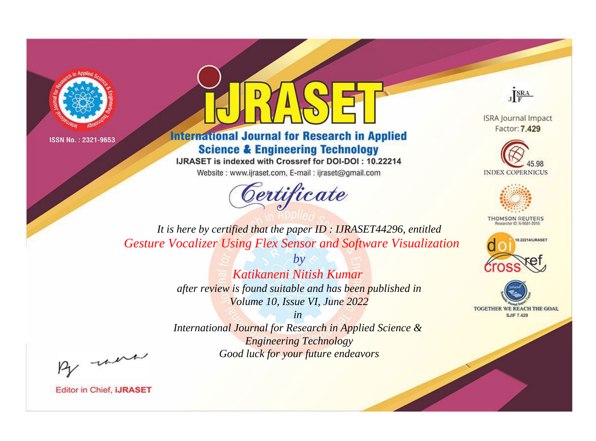



**International Journal for Research in Applied Science & Engineering Technology** 

IJRASET is indexed with Crossref for DOI-DOI: 10.22214

Website: www.ijraset.com, E-mail: ijraset@gmail.com



JERA

**ISRA Journal Impact** Factor: 7.429





**THOMSON REUTERS** 



TOGETHER WE REACH THE GOAL **SJIF 7.429** 

*It is here by certified that the paper ID : IJRASET44296, entitled Gesture Vocalizer Using Flex Sensor and Software Visualization*

> *by Katikaneni Nitish Kumar after review is found suitable and has been published in Volume 10, Issue VI, June 2022*

> > *in*

*International Journal for Research in Applied Science & Engineering Technology Good luck for your future endeavors*

By morn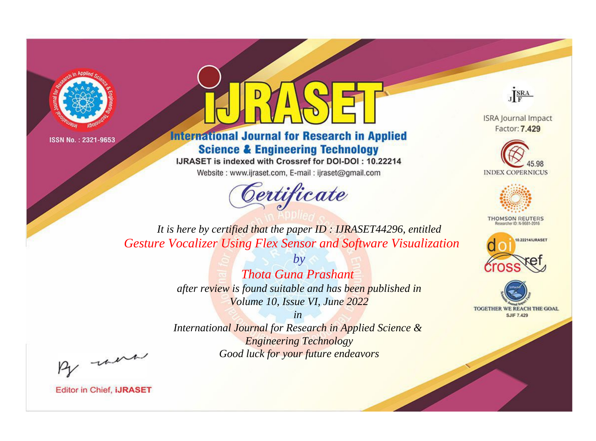



**International Journal for Research in Applied Science & Engineering Technology** 

IJRASET is indexed with Crossref for DOI-DOI: 10.22214

Website: www.ijraset.com, E-mail: ijraset@gmail.com



JERA

**ISRA Journal Impact** Factor: 7.429





**THOMSON REUTERS** 



TOGETHER WE REACH THE GOAL **SJIF 7.429** 

It is here by certified that the paper ID: IJRASET44296, entitled **Gesture Vocalizer Using Flex Sensor and Software Visualization** 

> **Thota Guna Prashant** after review is found suitable and has been published in Volume 10, Issue VI, June 2022

 $b\nu$ 

 $in$ International Journal for Research in Applied Science & **Engineering Technology** Good luck for your future endeavors

By morn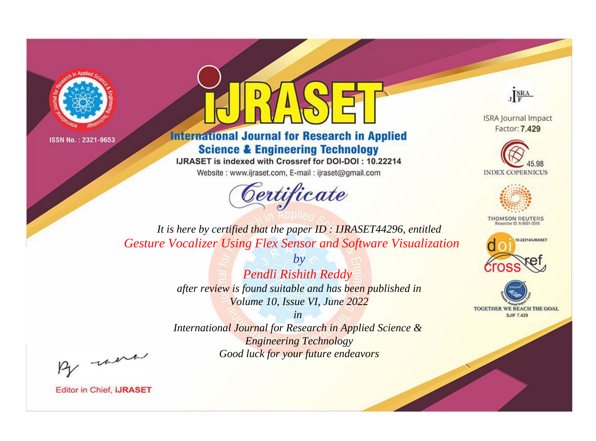



**International Journal for Research in Applied Science & Engineering Technology** 

IJRASET is indexed with Crossref for DOI-DOI: 10.22214

Website: www.ijraset.com, E-mail: ijraset@gmail.com



JERA

**ISRA Journal Impact** Factor: 7.429





**THOMSON REUTERS** 



TOGETHER WE REACH THE GOAL **SJIF 7.429** 

*It is here by certified that the paper ID : IJRASET44296, entitled Gesture Vocalizer Using Flex Sensor and Software Visualization*

> *by Pendli Rishith Reddy after review is found suitable and has been published in Volume 10, Issue VI, June 2022*

> > *in*

*International Journal for Research in Applied Science & Engineering Technology Good luck for your future endeavors*

By morn